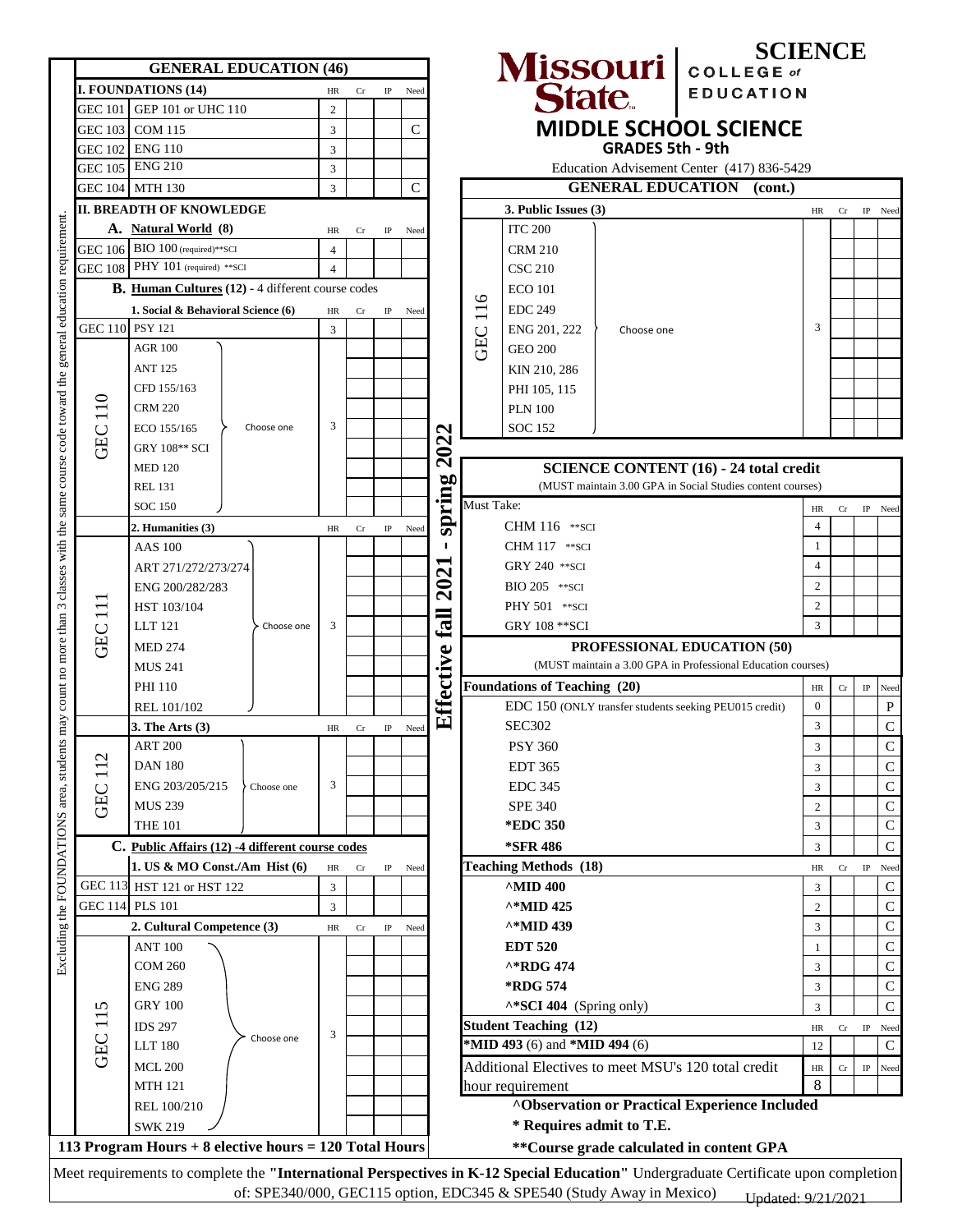|                                  | <b>GENERAL EDUCATION (46)</b>                                               |                |           |             |      |                     |                                                            |                                     |                          | <b>SCIENCE</b>                                               |                  |    |             |  |
|----------------------------------|-----------------------------------------------------------------------------|----------------|-----------|-------------|------|---------------------|------------------------------------------------------------|-------------------------------------|--------------------------|--------------------------------------------------------------|------------------|----|-------------|--|
|                                  | <b>I. FOUNDATIONS (14)</b>                                                  | HR             | Cr        | $_{\rm IP}$ | Need |                     |                                                            |                                     |                          | Missouri college of                                          |                  |    |             |  |
| <b>GEC 101</b>                   | GEP 101 or UHC 110                                                          | $\overline{2}$ |           |             |      |                     |                                                            |                                     |                          |                                                              |                  |    |             |  |
| <b>GEC 103</b>                   | <b>COM 115</b>                                                              | 3              |           |             | C    |                     |                                                            |                                     |                          | <b>MIDDLE SCHOOL SCIENCE</b>                                 |                  |    |             |  |
| GEC 102                          | <b>ENG 110</b>                                                              | 3              |           |             |      |                     |                                                            |                                     | <b>GRADES 5th - 9th</b>  |                                                              |                  |    |             |  |
| GEC 105                          | <b>ENG 210</b>                                                              | $\mathfrak{Z}$ |           |             |      |                     |                                                            |                                     |                          | Education Advisement Center (417) 836-5429                   |                  |    |             |  |
| <b>GEC 104</b>                   | <b>MTH 130</b>                                                              | 3              |           |             | C    |                     |                                                            |                                     | <b>GENERAL EDUCATION</b> | (cont.)                                                      |                  |    |             |  |
|                                  | <b>II. BREADTH OF KNOWLEDGE</b>                                             |                |           |             |      |                     |                                                            | 3. Public Issues (3)                |                          |                                                              | HR               | Cr | IP Need     |  |
|                                  | A. Natural World (8)                                                        | HR             | <b>Cr</b> | IP          | Need |                     |                                                            | <b>ITC 200</b>                      |                          |                                                              |                  |    |             |  |
| <b>GEC 106</b>                   | $BIO 100$ (required)**SCI                                                   | $\overline{4}$ |           |             |      |                     |                                                            | <b>CRM 210</b>                      |                          |                                                              |                  |    |             |  |
| <b>GEC 108</b>                   | PHY 101 (required) ** SCI                                                   | $\overline{4}$ |           |             |      |                     |                                                            | <b>CSC 210</b>                      |                          |                                                              |                  |    |             |  |
|                                  | <b>B.</b> Human Cultures (12) - 4 different course codes                    |                |           |             |      |                     | ৩                                                          | <b>ECO</b> 101                      |                          |                                                              |                  |    |             |  |
|                                  | 1. Social & Behavioral Science (6)                                          | HR             | Cr        | IP          | Need |                     | $\overline{\phantom{0}}$<br>1                              | <b>EDC 249</b>                      |                          |                                                              |                  |    |             |  |
| GEC 110 PSY 121                  |                                                                             | 3              |           |             |      |                     |                                                            | ENG 201, 222                        | Choose one               |                                                              |                  |    |             |  |
|                                  | <b>AGR 100</b>                                                              |                |           |             |      |                     | <b>GEC</b>                                                 | <b>GEO 200</b>                      |                          |                                                              |                  |    |             |  |
|                                  | <b>ANT 125</b>                                                              |                |           |             |      |                     |                                                            | KIN 210, 286                        |                          |                                                              |                  |    |             |  |
|                                  | CFD 155/163                                                                 |                |           |             |      |                     |                                                            | PHI 105, 115                        |                          |                                                              |                  |    |             |  |
| 110                              | <b>CRM 220</b>                                                              |                |           |             |      |                     |                                                            | <b>PLN 100</b>                      |                          |                                                              |                  |    |             |  |
|                                  | Choose one<br>ECO 155/165                                                   | 3              |           |             |      | N                   |                                                            | <b>SOC 152</b>                      |                          |                                                              |                  |    |             |  |
| <b>GEC</b>                       | GRY 108** SCI                                                               |                |           |             |      | 202                 |                                                            |                                     |                          |                                                              |                  |    |             |  |
|                                  | <b>MED 120</b>                                                              |                |           |             |      |                     | <b>SCIENCE CONTENT (16) - 24 total credit</b>              |                                     |                          |                                                              |                  |    |             |  |
|                                  | <b>REL 131</b>                                                              |                |           |             |      | spring              | (MUST maintain 3.00 GPA in Social Studies content courses) |                                     |                          |                                                              |                  |    |             |  |
|                                  | <b>SOC 150</b>                                                              |                |           |             |      |                     | Must Take:                                                 |                                     |                          |                                                              | HR               | Cr | IP Need     |  |
| $\exists$<br>GEC                 | 2. Humanities (3)                                                           | HR             | Cr        | $_{\rm IP}$ | Need |                     |                                                            | CHM 116 ** SCI                      |                          |                                                              | $\overline{4}$   |    |             |  |
|                                  | <b>AAS</b> 100                                                              |                |           |             |      | ٠                   |                                                            | CHM 117 ** SCI                      |                          |                                                              | 1                |    |             |  |
|                                  | ART 271/272/273/274                                                         |                |           |             |      | $\boldsymbol{\sim}$ |                                                            | <b>GRY 240 ** SCI</b>               |                          |                                                              | $\overline{4}$   |    |             |  |
|                                  | ENG 200/282/283                                                             |                |           |             |      | $\mathbf{S}$        |                                                            | BIO 205 ** SCI                      |                          |                                                              | $\overline{c}$   |    |             |  |
|                                  | HST 103/104                                                                 |                |           |             |      |                     |                                                            | PHY 501 ** SCI                      |                          |                                                              | 2                |    |             |  |
|                                  | LLT 121<br>Choose one                                                       | 3              |           |             |      | Eall                |                                                            | <b>GRY 108 ** SCI</b>               |                          |                                                              | 3                |    |             |  |
|                                  | <b>MED 274</b>                                                              |                |           |             |      |                     |                                                            | <b>PROFESSIONAL EDUCATION (50)</b>  |                          |                                                              |                  |    |             |  |
|                                  | <b>MUS 241</b>                                                              |                |           |             |      |                     |                                                            |                                     |                          | (MUST maintain a 3.00 GPA in Professional Education courses) |                  |    |             |  |
|                                  | <b>PHI 110</b>                                                              |                |           |             |      | Effective           |                                                            | <b>Foundations of Teaching (20)</b> |                          |                                                              | HR               | Cr | $\rm IP$    |  |
|                                  | REL 101/102                                                                 |                |           |             |      |                     |                                                            |                                     |                          | EDC 150 (ONLY transfer students seeking PEU015 credit)       | $\boldsymbol{0}$ |    |             |  |
|                                  | 3. The Arts $(3)$                                                           | HR             | Cr        | $_{\rm IP}$ | Need |                     |                                                            | <b>SEC302</b>                       |                          |                                                              | $\mathfrak{Z}$   |    |             |  |
| $\mathbf{\sim}$<br>$\Box$<br>GEC | <b>ART 200</b>                                                              |                |           |             |      |                     | <b>PSY 360</b>                                             |                                     | 3                        |                                                              |                  |    |             |  |
|                                  | <b>DAN 180</b>                                                              |                |           |             |      |                     |                                                            | <b>EDT 365</b>                      |                          |                                                              | 3                |    |             |  |
|                                  | ENG 203/205/215<br>Choose one                                               | 3              |           |             |      |                     |                                                            | <b>EDC 345</b>                      |                          |                                                              | 3                |    |             |  |
|                                  | <b>MUS 239</b>                                                              |                |           |             |      |                     |                                                            | <b>SPE 340</b>                      |                          |                                                              | $\overline{2}$   |    |             |  |
|                                  | <b>THE 101</b>                                                              |                |           |             |      |                     |                                                            | *EDC 350                            |                          |                                                              | 3                |    |             |  |
|                                  | C. Public Affairs (12) -4 different course codes                            |                |           |             |      |                     |                                                            | *SFR 486                            |                          |                                                              | 3                |    |             |  |
|                                  | 1. US & MO Const./Am Hist (6)                                               | HR             | Cr        | $_{\rm IP}$ | Need |                     |                                                            | <b>Teaching Methods (18)</b>        |                          |                                                              | HR               | Cr | $_{\rm IP}$ |  |
|                                  | GEC 113 HST 121 or HST 122                                                  | 3              |           |             |      |                     |                                                            | <b>AMID 400</b>                     |                          |                                                              | 3                |    |             |  |
|                                  | GEC 114 PLS 101                                                             | 3              |           |             |      |                     |                                                            | ^*MID 425                           |                          |                                                              | $\boldsymbol{2}$ |    |             |  |
| 115<br>GEC                       | 2. Cultural Competence (3)                                                  | HR             | Cr        | $\rm IP$    | Need |                     |                                                            | ^*MID 439                           |                          |                                                              | 3                |    |             |  |
|                                  | <b>ANT 100</b>                                                              |                |           |             |      |                     |                                                            | <b>EDT 520</b>                      |                          |                                                              | -1               |    |             |  |
|                                  | <b>COM 260</b>                                                              |                |           |             |      |                     |                                                            | ^*RDG 474                           |                          |                                                              | 3                |    |             |  |
|                                  | <b>ENG 289</b>                                                              |                |           |             |      |                     |                                                            | *RDG 574                            |                          |                                                              | $\mathfrak{Z}$   |    |             |  |
|                                  | <b>GRY 100</b>                                                              |                |           |             |      |                     | $\wedge$ *SCI 404 (Spring only)                            |                                     |                          |                                                              | 3                |    |             |  |
|                                  | <b>IDS 297</b><br>Choose one                                                |                |           |             |      |                     |                                                            | <b>Student Teaching (12)</b>        |                          |                                                              | HR               | Cr | IP          |  |
|                                  | <b>LLT 180</b>                                                              |                |           |             |      |                     | *MID 493 (6) and *MID 494 (6)                              |                                     |                          | 12                                                           |                  |    |             |  |
|                                  | <b>MCL 200</b>                                                              |                |           |             |      |                     |                                                            |                                     |                          | Additional Electives to meet MSU's 120 total credit          | HR               | Cr | IP          |  |
|                                  | <b>MTH 121</b>                                                              |                |           |             |      |                     |                                                            | hour requirement                    |                          |                                                              | 8                |    |             |  |
|                                  | REL 100/210                                                                 |                |           |             |      |                     |                                                            |                                     |                          | <b>^Observation or Practical Experience Included</b>         |                  |    |             |  |
|                                  |                                                                             |                |           |             |      |                     |                                                            |                                     |                          |                                                              |                  |    |             |  |
|                                  | <b>SWK 219</b><br>113 Program Hours $+8$ elective hours $= 120$ Total Hours |                |           |             |      |                     |                                                            | * Requires admit to T.E.            |                          | ** Course grade calculated in content GPA                    |                  |    |             |  |

of: SPE340/000, GEC115 option, EDC345 & SPE540 (Study Away in Mexico) Updated: 9/21/2021

 $\overline{\phantom{a}}$